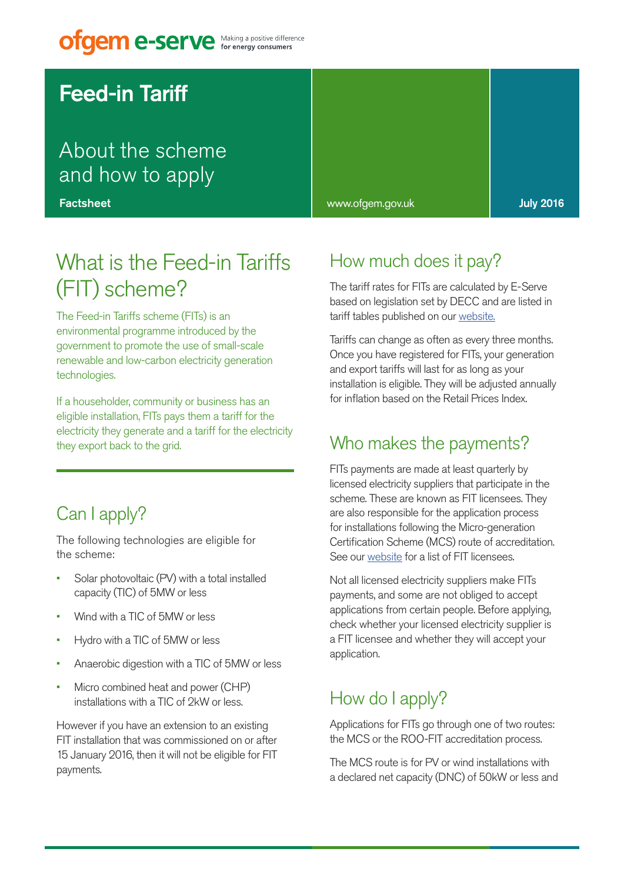# **ofgem e-serve** Making a positive difference

# Feed-in Tariff

# About the scheme and how to apply

**Factsheet** 

# What is the Feed-in Tariffs (FIT) scheme?

The Feed-in Tariffs scheme (FITs) is an environmental programme introduced by the government to promote the use of small-scale renewable and low-carbon electricity generation technologies.

If a householder, community or business has an eligible installation, FITs pays them a tariff for the electricity they generate and a tariff for the electricity they export back to the grid.

## Can I apply?

The following technologies are eligible for the scheme:

- Solar photovoltaic (PV) with a total installed capacity (TIC) of 5MW or less
- Wind with a TIC of 5MW or less
- Hydro with a TIC of 5MW or less
- Anaerobic digestion with a TIC of 5MW or less
- Micro combined heat and power (CHP) installations with a TIC of 2kW or less.

However if you have an extension to an existing FIT installation that was commissioned on or after 15 January 2016, then it will not be eligible for FIT payments.

#### www.ofgem.gov.uk July 2016

### How much does it pay?

The tariff rates for FITs are calculated by E-Serve based on legislation set by DECC and are listed in tariff tables published on our website.

Tariffs can change as often as every three months. Once you have registered for FITs, your generation and export tariffs will last for as long as your installation is eligible. They will be adjusted annually for inflation based on the Retail Prices Index.

#### Who makes the payments?

FITs payments are made at least quarterly by licensed electricity suppliers that participate in the scheme. These are known as FIT licensees. They are also responsible for the application process for installations following the Micro-generation Certification Scheme (MCS) route of accreditation. See our website for a list of FIT licensees.

Not all licensed electricity suppliers make FITs payments, and some are not obliged to accept applications from certain people. Before applying, check whether your licensed electricity supplier is a FIT licensee and whether they will accept your application.

### How do I apply?

Applications for FITs go through one of two routes: the MCS or the ROO-FIT accreditation process.

The MCS route is for PV or wind installations with a declared net capacity (DNC) of 50kW or less and